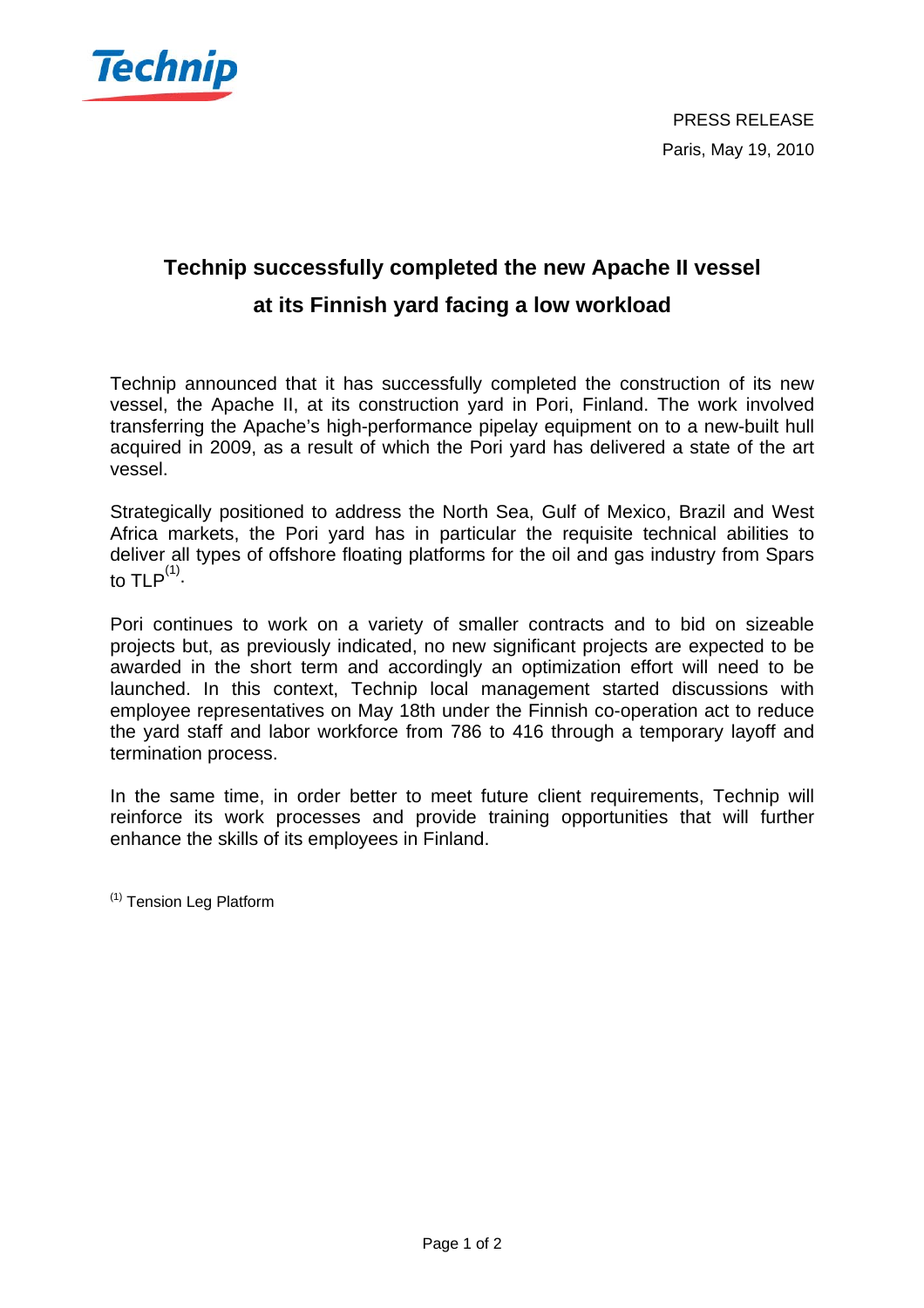

## **Technip successfully completed the new Apache II vessel at its Finnish yard facing a low workload**

Technip announced that it has successfully completed the construction of its new vessel, the Apache II, at its construction yard in Pori, Finland. The work involved transferring the Apache's high-performance pipelay equipment on to a new-built hull acquired in 2009, as a result of which the Pori yard has delivered a state of the art vessel.

Strategically positioned to address the North Sea, Gulf of Mexico, Brazil and West Africa markets, the Pori yard has in particular the requisite technical abilities to deliver all types of offshore floating platforms for the oil and gas industry from Spars to TLP $^{(1)}$ .

Pori continues to work on a variety of smaller contracts and to bid on sizeable projects but, as previously indicated, no new significant projects are expected to be awarded in the short term and accordingly an optimization effort will need to be launched. In this context, Technip local management started discussions with employee representatives on May 18th under the Finnish co-operation act to reduce the yard staff and labor workforce from 786 to 416 through a temporary layoff and termination process.

In the same time, in order better to meet future client requirements, Technip will reinforce its work processes and provide training opportunities that will further enhance the skills of its employees in Finland.

(1) Tension Leg Platform